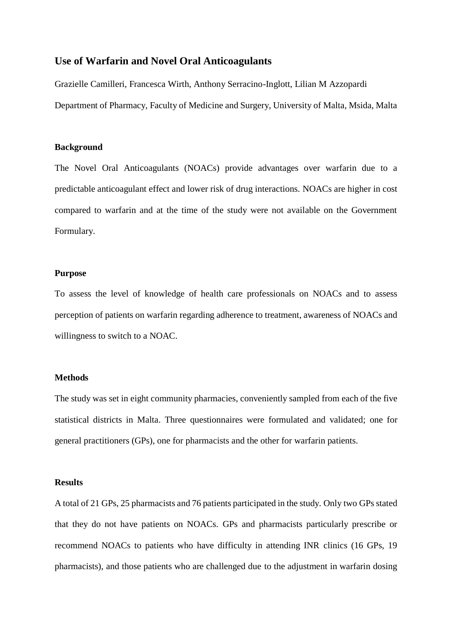# **Use of Warfarin and Novel Oral Anticoagulants**

Grazielle Camilleri, Francesca Wirth, Anthony Serracino-Inglott, Lilian M Azzopardi Department of Pharmacy, Faculty of Medicine and Surgery, University of Malta, Msida, Malta

### **Background**

The Novel Oral Anticoagulants (NOACs) provide advantages over warfarin due to a predictable anticoagulant effect and lower risk of drug interactions. NOACs are higher in cost compared to warfarin and at the time of the study were not available on the Government Formulary.

## **Purpose**

To assess the level of knowledge of health care professionals on NOACs and to assess perception of patients on warfarin regarding adherence to treatment, awareness of NOACs and willingness to switch to a NOAC.

# **Methods**

The study was set in eight community pharmacies, conveniently sampled from each of the five statistical districts in Malta. Three questionnaires were formulated and validated; one for general practitioners (GPs), one for pharmacists and the other for warfarin patients.

#### **Results**

A total of 21 GPs, 25 pharmacists and 76 patients participated in the study. Only two GPs stated that they do not have patients on NOACs. GPs and pharmacists particularly prescribe or recommend NOACs to patients who have difficulty in attending INR clinics (16 GPs, 19 pharmacists), and those patients who are challenged due to the adjustment in warfarin dosing